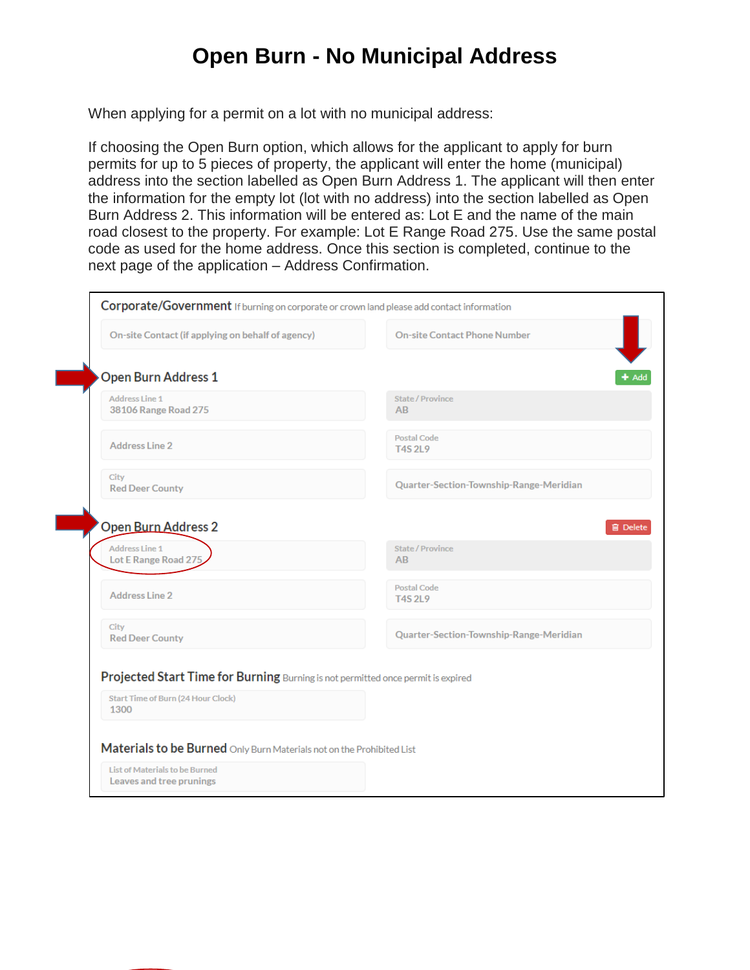## **Open Burn - No Municipal Address**

When applying for a permit on a lot with no municipal address:

If choosing the Open Burn option, which allows for the applicant to apply for burn permits for up to 5 pieces of property, the applicant will enter the home (municipal) address into the section labelled as Open Burn Address 1. The applicant will then enter the information for the empty lot (lot with no address) into the section labelled as Open Burn Address 2. This information will be entered as: Lot E and the name of the main road closest to the property. For example: Lot E Range Road 275. Use the same postal code as used for the home address. Once this section is completed, continue to the next page of the application – Address Confirmation.

| On-site Contact (if applying on behalf of agency)                                                                                     | <b>On-site Contact Phone Number</b>                       |
|---------------------------------------------------------------------------------------------------------------------------------------|-----------------------------------------------------------|
| <b>Open Burn Address 1</b>                                                                                                            |                                                           |
| Address Line 1<br>38106 Range Road 275                                                                                                | State / Province<br>AB                                    |
| <b>Address Line 2</b>                                                                                                                 | <b>Postal Code</b><br><b>T4S 2L9</b>                      |
| City<br><b>Red Deer County</b>                                                                                                        | Quarter-Section-Township-Range-Meridian                   |
| <b>Open Burn Address 2</b><br><b>Address Line 1</b>                                                                                   |                                                           |
| Lot E Range Road 27!<br><b>Address Line 2</b>                                                                                         | <b>State / Province</b><br>AB<br><b>Postal Code</b>       |
| City<br><b>Red Deer County</b>                                                                                                        | <b>T4S 2L9</b><br>Quarter-Section-Township-Range-Meridian |
|                                                                                                                                       |                                                           |
| Projected Start Time for Burning Burning is not permitted once permit is expired<br><b>Start Time of Burn (24 Hour Clock)</b><br>1300 |                                                           |
| Materials to be Burned Only Burn Materials not on the Prohibited List                                                                 |                                                           |